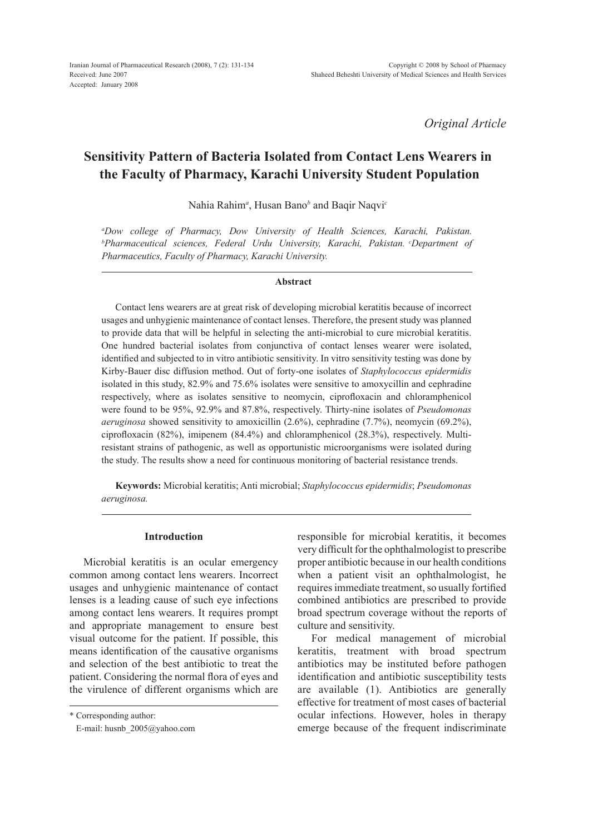*Original Article*

# **Sensitivity Pattern of Bacteria Isolated from Contact Lens Wearers in the Faculty of Pharmacy, Karachi University Student Population**

Nahia Rahim*<sup>a</sup>* , Husan Bano*<sup>b</sup>* and Baqir Naqvi*<sup>c</sup>*

*a Dow college of Pharmacy, Dow University of Health Sciences, Karachi, Pakistan. b Pharmaceutical sciences, Federal Urdu University, Karachi, Pakistan. cDepartment of Pharmaceutics, Faculty of Pharmacy, Karachi University.*

### **Abstract**

Contact lens wearers are at great risk of developing microbial keratitis because of incorrect usages and unhygienic maintenance of contact lenses. Therefore, the present study was planned to provide data that will be helpful in selecting the anti-microbial to cure microbial keratitis. One hundred bacterial isolates from conjunctiva of contact lenses wearer were isolated, identified and subjected to in vitro antibiotic sensitivity. In vitro sensitivity testing was done by Kirby-Bauer disc diffusion method. Out of forty-one isolates of *Staphylococcus epidermidis* isolated in this study, 82.9% and 75.6% isolates were sensitive to amoxycillin and cephradine respectively, where as isolates sensitive to neomycin, ciprofloxacin and chloramphenicol were found to be 95%, 92.9% and 87.8%, respectively. Thirty-nine isolates of *Pseudomonas aeruginosa* showed sensitivity to amoxicillin (2.6%), cephradine (7.7%), neomycin (69.2%), ciprofloxacin (82%), imipenem (84.4%) and chloramphenicol (28.3%), respectively. Multiresistant strains of pathogenic, as well as opportunistic microorganisms were isolated during the study. The results show a need for continuous monitoring of bacterial resistance trends.

**Keywords:** Microbial keratitis; Anti microbial; *Staphylococcus epidermidis*; *Pseudomonas aeruginosa.*

## **Introduction**

Microbial keratitis is an ocular emergency common among contact lens wearers. Incorrect usages and unhygienic maintenance of contact lenses is a leading cause of such eye infections among contact lens wearers. It requires prompt and appropriate management to ensure best visual outcome for the patient. If possible, this means identification of the causative organisms and selection of the best antibiotic to treat the patient. Considering the normal flora of eyes and the virulence of different organisms which are

\* Corresponding author: E-mail: husnb\_2005@yahoo.com responsible for microbial keratitis, it becomes very difficult for the ophthalmologist to prescribe proper antibiotic because in our health conditions when a patient visit an ophthalmologist, he requires immediate treatment, so usually fortified combined antibiotics are prescribed to provide broad spectrum coverage without the reports of culture and sensitivity.

For medical management of microbial keratitis, treatment with broad spectrum antibiotics may be instituted before pathogen identification and antibiotic susceptibility tests are available (1). Antibiotics are generally effective for treatment of most cases of bacterial ocular infections. However, holes in therapy emerge because of the frequent indiscriminate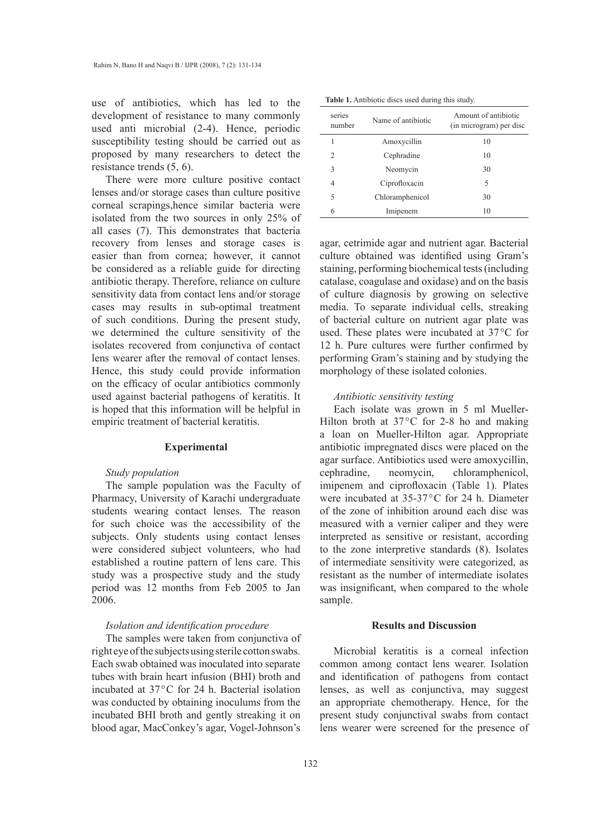use of antibiotics, which has led to the development of resistance to many commonly used anti microbial (2-4). Hence, periodic susceptibility testing should be carried out as proposed by many researchers to detect the resistance trends (5, 6).

There were more culture positive contact lenses and/or storage cases than culture positive corneal scrapings,hence similar bacteria were isolated from the two sources in only 25% of all cases (7). This demonstrates that bacteria recovery from lenses and storage cases is easier than from cornea; however, it cannot be considered as a reliable guide for directing antibiotic therapy. Therefore, reliance on culture sensitivity data from contact lens and/or storage cases may results in sub-optimal treatment of such conditions. During the present study, we determined the culture sensitivity of the isolates recovered from conjunctiva of contact lens wearer after the removal of contact lenses. Hence, this study could provide information on the efficacy of ocular antibiotics commonly used against bacterial pathogens of keratitis. It is hoped that this information will be helpful in empiric treatment of bacterial keratitis.

#### **Experimental**

# *Study population*

The sample population was the Faculty of Pharmacy, University of Karachi undergraduate students wearing contact lenses. The reason for such choice was the accessibility of the subjects. Only students using contact lenses were considered subject volunteers, who had established a routine pattern of lens care. This study was a prospective study and the study period was 12 months from Feb 2005 to Jan 2006.

## *Isolation and identification procedure*

The samples were taken from conjunctiva of right eye of the subjects using sterile cotton swabs. Each swab obtained was inoculated into separate tubes with brain heart infusion (BHI) broth and incubated at 37°C for 24 h. Bacterial isolation was conducted by obtaining inoculums from the incubated BHI broth and gently streaking it on blood agar, MacConkey's agar, Vogel-Johnson's

| series<br>number | Name of antibiotic | Amount of antibiotic<br>(in microgram) per disc |  |  |
|------------------|--------------------|-------------------------------------------------|--|--|
|                  | Amoxycillin        | 10                                              |  |  |
| $\mathfrak{D}$   | Cephradine         | 10                                              |  |  |
| 3                | Neomycin           | 30                                              |  |  |
| 4                | Ciprofloxacin      | 5                                               |  |  |
| 5                | Chloramphenicol    | 30                                              |  |  |
| 6                | Imipenem           | 10                                              |  |  |

agar, cetrimide agar and nutrient agar. Bacterial culture obtained was identified using Gram's staining, performing biochemical tests (including catalase, coagulase and oxidase) and on the basis of culture diagnosis by growing on selective media. To separate individual cells, streaking of bacterial culture on nutrient agar plate was used. These plates were incubated at 37°C for 12 h. Pure cultures were further confirmed by performing Gram's staining and by studying the morphology of these isolated colonies.

### *Antibiotic sensitivity testing*

Each isolate was grown in 5 ml Mueller-Hilton broth at  $37^{\circ}$ C for 2-8 ho and making a loan on Mueller-Hilton agar. Appropriate antibiotic impregnated discs were placed on the agar surface. Antibiotics used were amoxycillin, cephradine, neomycin, chloramphenicol, imipenem and ciprofloxacin (Table 1). Plates were incubated at 35-37°C for 24 h. Diameter of the zone of inhibition around each disc was measured with a vernier caliper and they were interpreted as sensitive or resistant, according to the zone interpretive standards (8). Isolates of intermediate sensitivity were categorized, as resistant as the number of intermediate isolates was insignificant, when compared to the whole sample.

# **Results and Discussion**

Microbial keratitis is a corneal infection common among contact lens wearer. Isolation and identification of pathogens from contact lenses, as well as conjunctiva, may suggest an appropriate chemotherapy. Hence, for the present study conjunctival swabs from contact lens wearer were screened for the presence of

**Table 1.** Antibiotic discs used during this study.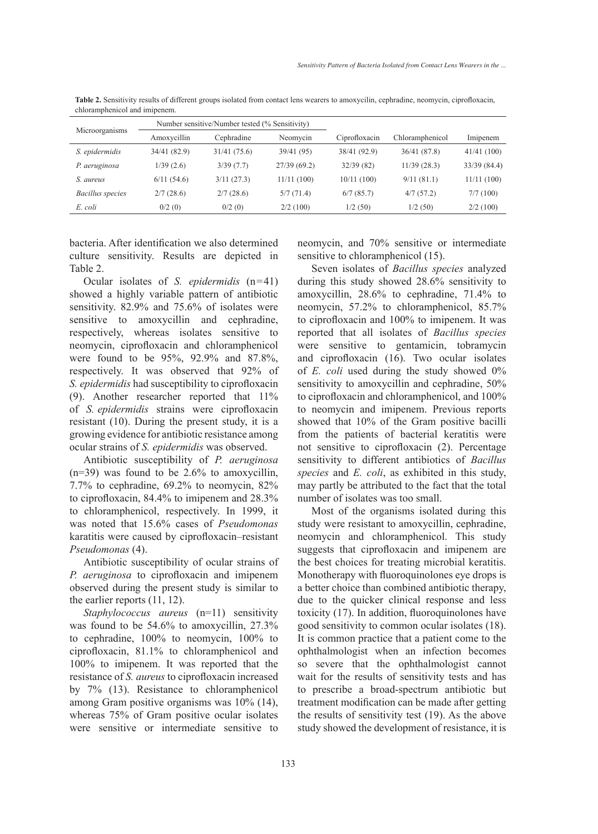| Microorganisms   | Number sensitive/Number tested (% Sensitivity) |              |              |               |                 |              |
|------------------|------------------------------------------------|--------------|--------------|---------------|-----------------|--------------|
|                  | Amoxycillin                                    | Cephradine   | Neomycin     | Ciprofloxacin | Chloramphenicol | Imipenem     |
| S. epidermidis   | 34/41 (82.9)                                   | 31/41 (75.6) | 39/41 (95)   | 38/41 (92.9)  | 36/41 (87.8)    | 41/41(100)   |
| P. aeruginosa    | 1/39(2.6)                                      | 3/39(7.7)    | 27/39 (69.2) | 32/39(82)     | 11/39(28.3)     | 33/39 (84.4) |
| S. aureus        | 6/11(54.6)                                     | 3/11(27.3)   | 11/11(100)   | 10/11(100)    | 9/11(81.1)      | 11/11(100)   |
| Bacillus species | 2/7(28.6)                                      | 2/7(28.6)    | 5/7(71.4)    | 6/7(85.7)     | 4/7(57.2)       | 7/7(100)     |
| E. coli          | 0/2(0)                                         | 0/2(0)       | 2/2(100)     | 1/2(50)       | 1/2(50)         | 2/2(100)     |

**Table 2.** Sensitivity results of different groups isolated from contact lens wearers to amoxycilin, cephradine, neomycin, ciprofloxacin, chloramphenicol and imipenem.

bacteria. After identification we also determined culture sensitivity. Results are depicted in Table 2.

Ocular isolates of *S. epidermidis* (n=41) showed a highly variable pattern of antibiotic sensitivity. 82.9% and 75.6% of isolates were sensitive to amoxycillin and cephradine, respectively, whereas isolates sensitive to neomycin, ciprofloxacin and chloramphenicol were found to be 95%, 92.9% and 87.8%, respectively. It was observed that 92% of *S. epidermidis* had susceptibility to ciprofloxacin (9). Another researcher reported that 11% of *S. epidermidis* strains were ciprofloxacin resistant (10). During the present study, it is a growing evidence for antibiotic resistance among ocular strains of *S. epidermidis* was observed.

Antibiotic susceptibility of *P. aeruginosa*  $(n=39)$  was found to be 2.6% to amoxycillin, 7.7% to cephradine, 69.2% to neomycin, 82% to ciprofloxacin, 84.4% to imipenem and 28.3% to chloramphenicol, respectively. In 1999, it was noted that 15.6% cases of *Pseudomonas*  karatitis were caused by ciprofloxacin–resistant *Pseudomonas* (4).

Antibiotic susceptibility of ocular strains of *P. aeruginosa* to ciprofloxacin and imipenem observed during the present study is similar to the earlier reports (11, 12).

*Staphylococcus aureus* (n=11) sensitivity was found to be 54.6% to amoxycillin, 27.3% to cephradine, 100% to neomycin, 100% to ciprofloxacin, 81.1% to chloramphenicol and 100% to imipenem. It was reported that the resistance of *S. aureus* to ciprofloxacin increased by 7% (13). Resistance to chloramphenicol among Gram positive organisms was 10% (14), whereas 75% of Gram positive ocular isolates were sensitive or intermediate sensitive to neomycin, and 70% sensitive or intermediate sensitive to chloramphenicol (15).

Seven isolates of *Bacillus species* analyzed during this study showed 28.6% sensitivity to amoxycillin, 28.6% to cephradine, 71.4% to neomycin, 57.2% to chloramphenicol, 85.7% to ciprofloxacin and 100% to imipenem. It was reported that all isolates of *Bacillus species*  were sensitive to gentamicin, tobramycin and ciprofloxacin (16). Two ocular isolates of *E. coli* used during the study showed 0% sensitivity to amoxycillin and cephradine, 50% to ciprofloxacin and chloramphenicol, and 100% to neomycin and imipenem. Previous reports showed that 10% of the Gram positive bacilli from the patients of bacterial keratitis were not sensitive to ciprofloxacin (2). Percentage sensitivity to different antibiotics of *Bacillus species* and *E. coli*, as exhibited in this study, may partly be attributed to the fact that the total number of isolates was too small.

Most of the organisms isolated during this study were resistant to amoxycillin, cephradine, neomycin and chloramphenicol. This study suggests that ciprofloxacin and imipenem are the best choices for treating microbial keratitis. Monotherapy with fluoroquinolones eye drops is a better choice than combined antibiotic therapy, due to the quicker clinical response and less toxicity (17). In addition, fluoroquinolones have good sensitivity to common ocular isolates (18). It is common practice that a patient come to the ophthalmologist when an infection becomes so severe that the ophthalmologist cannot wait for the results of sensitivity tests and has to prescribe a broad-spectrum antibiotic but treatment modification can be made after getting the results of sensitivity test (19). As the above study showed the development of resistance, it is